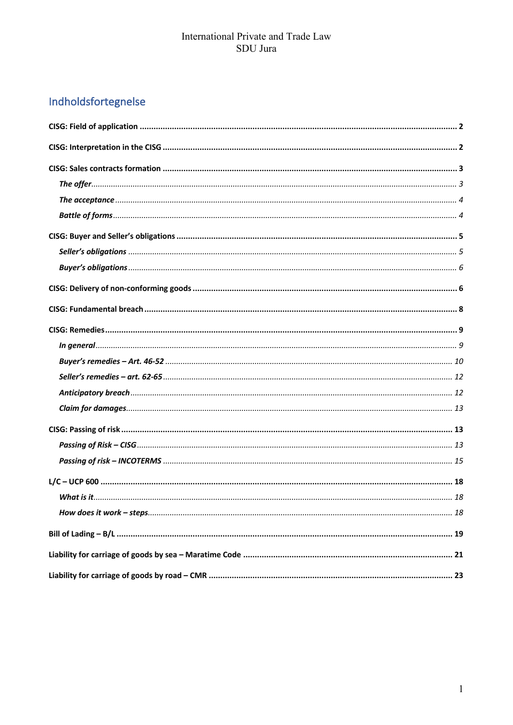# Indholdsfortegnelse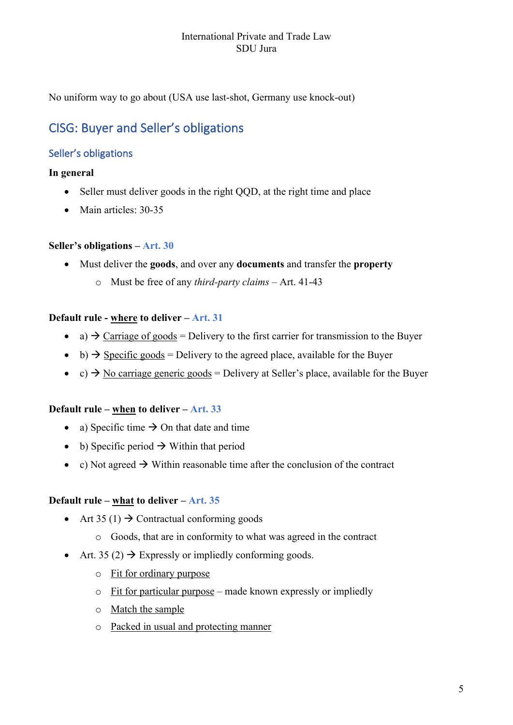No uniform way to go about (USA use last-shot, Germany use knock-out)

## CISG: Buyer and Seller's obligations

## Seller's obligations

## **In general**

- Seller must deliver goods in the right QQD, at the right time and place
- Main articles: 30-35

## **Seller's obligations – Art. 30**

- Must deliver the **goods**, and over any **documents** and transfer the **property**
	- o Must be free of any *third-party claims* Art. 41-43

## **Default rule - where to deliver – Art. 31**

- a)  $\rightarrow$  Carriage of goods = Delivery to the first carrier for transmission to the Buyer
- b)  $\rightarrow$  Specific goods = Delivery to the agreed place, available for the Buyer
- c)  $\rightarrow$  No carriage generic goods = Delivery at Seller's place, available for the Buyer

#### **Default rule – when to deliver – Art. 33**

- a) Specific time  $\rightarrow$  On that date and time
- b) Specific period  $\rightarrow$  Within that period
- c) Not agreed  $\rightarrow$  Within reasonable time after the conclusion of the contract

## **Default rule – what to deliver – Art. 35**

- Art 35 (1)  $\rightarrow$  Contractual conforming goods
	- o Goods, that are in conformity to what was agreed in the contract
- Art. 35 (2)  $\rightarrow$  Expressly or impliedly conforming goods.
	- o Fit for ordinary purpose
	- $\circ$  Fit for particular purpose made known expressly or impliedly
	- o Match the sample
	- o Packed in usual and protecting manner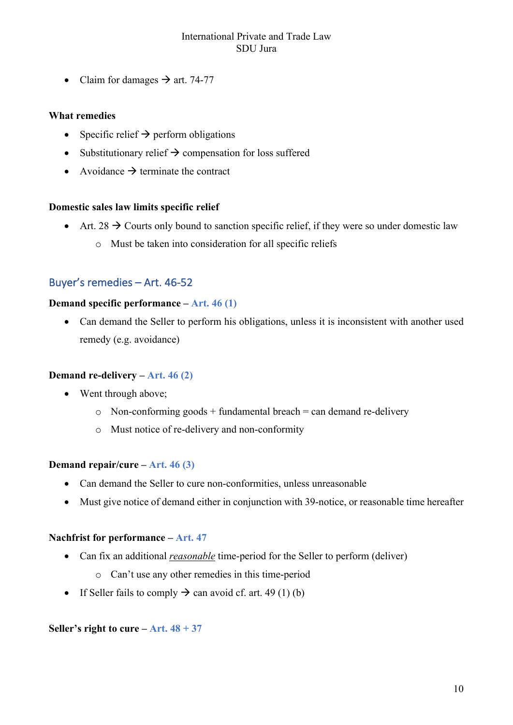• Claim for damages  $\rightarrow$  art. 74-77

#### **What remedies**

- Specific relief  $\rightarrow$  perform obligations
- Substitutionary relief  $\rightarrow$  compensation for loss suffered
- Avoidance  $\rightarrow$  terminate the contract

#### **Domestic sales law limits specific relief**

- Art. 28  $\rightarrow$  Courts only bound to sanction specific relief, if they were so under domestic law
	- o Must be taken into consideration for all specific reliefs

## Buyer's remedies – Art. 46-52

#### **Demand specific performance – Art. 46 (1)**

• Can demand the Seller to perform his obligations, unless it is inconsistent with another used remedy (e.g. avoidance)

#### **Demand re-delivery – Art. 46 (2)**

- Went through above;
	- $\circ$  Non-conforming goods + fundamental breach = can demand re-delivery
	- o Must notice of re-delivery and non-conformity

#### **Demand repair/cure – Art. 46 (3)**

- Can demand the Seller to cure non-conformities, unless unreasonable
- Must give notice of demand either in conjunction with 39-notice, or reasonable time hereafter

#### **Nachfrist for performance – Art. 47**

- Can fix an additional *reasonable* time-period for the Seller to perform (deliver)
	- o Can't use any other remedies in this time-period
- If Seller fails to comply  $\rightarrow$  can avoid cf. art. 49 (1) (b)

#### **Seller's right to cure – Art.**  $48 + 37$